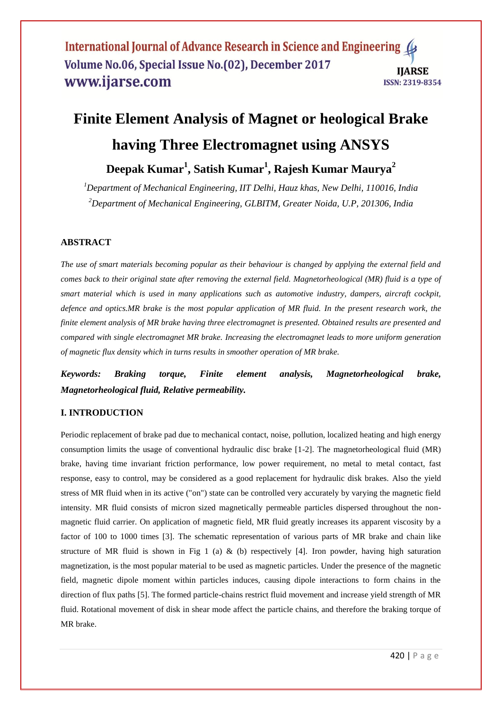#### International Journal of Advance Research in Science and Engineering 4 Volume No.06, Special Issue No.(02), December 2017 **IIARSE** www.ijarse.com ISSN: 2319-8354

# **Finite Element Analysis of Magnet or heological Brake having Three Electromagnet using ANSYS**

**Deepak Kumar<sup>1</sup> , Satish Kumar<sup>1</sup> , Rajesh Kumar Maurya<sup>2</sup>**

*<sup>1</sup>Department of Mechanical Engineering, IIT Delhi, Hauz khas, New Delhi, 110016, India <sup>2</sup>Department of Mechanical Engineering, GLBITM, Greater Noida, U.P, 201306, India*

## **ABSTRACT**

*The use of smart materials becoming popular as their behaviour is changed by applying the external field and comes back to their original state after removing the external field. Magnetorheological (MR) fluid is a type of smart material which is used in many applications such as automotive industry, dampers, aircraft cockpit, defence and optics.MR brake is the most popular application of MR fluid. In the present research work, the finite element analysis of MR brake having three electromagnet is presented. Obtained results are presented and compared with single electromagnet MR brake. Increasing the electromagnet leads to more uniform generation of magnetic flux density which in turns results in smoother operation of MR brake.*

*Keywords: Braking torque, Finite element analysis, Magnetorheological brake, Magnetorheological fluid, Relative permeability.*

### **I. INTRODUCTION**

Periodic replacement of brake pad due to mechanical contact, noise, pollution, localized heating and high energy consumption limits the usage of conventional hydraulic disc brake [1-2]. The magnetorheological fluid (MR) brake, having time invariant friction performance, low power requirement, no metal to metal contact, fast response, easy to control, may be considered as a good replacement for hydraulic disk brakes. Also the yield stress of MR fluid when in its active ("on") state can be controlled very accurately by varying the magnetic field intensity. MR fluid consists of micron sized magnetically permeable particles dispersed throughout the nonmagnetic fluid carrier. On application of magnetic field, MR fluid greatly increases its apparent viscosity by a factor of 100 to 1000 times [3]. The schematic representation of various parts of MR brake and chain like structure of MR fluid is shown in Fig 1 (a) & (b) respectively [4]. Iron powder, having high saturation magnetization, is the most popular material to be used as magnetic particles. Under the presence of the magnetic field, magnetic dipole moment within particles induces, causing dipole interactions to form chains in the direction of flux paths [5]. The formed particle-chains restrict fluid movement and increase yield strength of MR fluid. Rotational movement of disk in shear mode affect the particle chains, and therefore the braking torque of MR brake.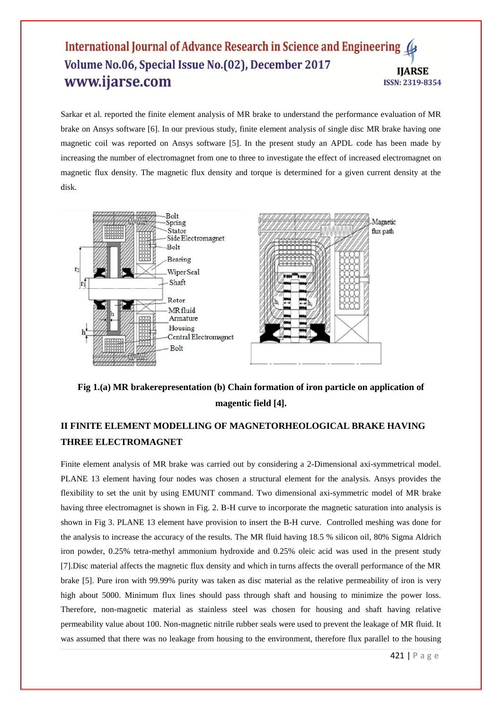#### International Journal of Advance Research in Science and Engineering ( Volume No.06, Special Issue No.(02), December 2017 **IIARSE** www.ijarse.com ISSN: 2319-8354

Sarkar et al. reported the finite element analysis of MR brake to understand the performance evaluation of MR brake on Ansys software [6]. In our previous study, finite element analysis of single disc MR brake having one magnetic coil was reported on Ansys software [5]. In the present study an APDL code has been made by increasing the number of electromagnet from one to three to investigate the effect of increased electromagnet on magnetic flux density. The magnetic flux density and torque is determined for a given current density at the disk.



**Fig 1.(a) MR brakerepresentation (b) Chain formation of iron particle on application of magentic field [4].**

# **II FINITE ELEMENT MODELLING OF MAGNETORHEOLOGICAL BRAKE HAVING THREE ELECTROMAGNET**

Finite element analysis of MR brake was carried out by considering a 2-Dimensional axi-symmetrical model. PLANE 13 element having four nodes was chosen a structural element for the analysis. Ansys provides the flexibility to set the unit by using EMUNIT command. Two dimensional axi-symmetric model of MR brake having three electromagnet is shown in Fig. 2. B-H curve to incorporate the magnetic saturation into analysis is shown in Fig 3. PLANE 13 element have provision to insert the B-H curve. Controlled meshing was done for the analysis to increase the accuracy of the results. The MR fluid having 18.5 % silicon oil, 80% Sigma Aldrich iron powder, 0.25% tetra-methyl ammonium hydroxide and 0.25% oleic acid was used in the present study [7].Disc material affects the magnetic flux density and which in turns affects the overall performance of the MR brake [5]. Pure iron with 99.99% purity was taken as disc material as the relative permeability of iron is very high about 5000. Minimum flux lines should pass through shaft and housing to minimize the power loss. Therefore, non-magnetic material as stainless steel was chosen for housing and shaft having relative permeability value about 100. Non-magnetic nitrile rubber seals were used to prevent the leakage of MR fluid. It was assumed that there was no leakage from housing to the environment, therefore flux parallel to the housing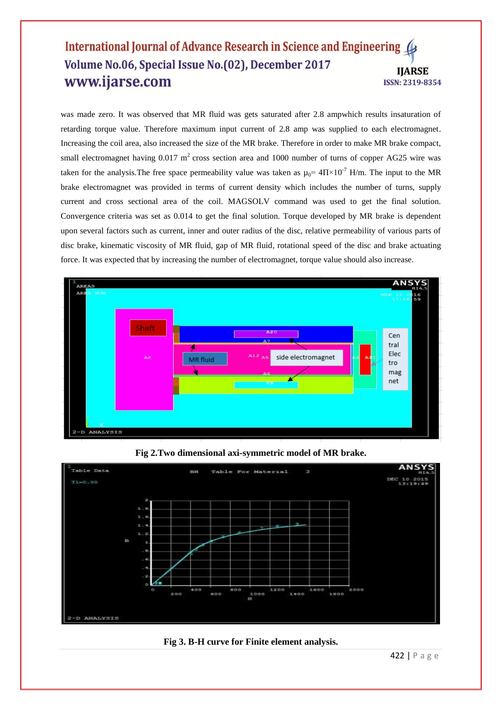#### International Journal of Advance Research in Science and Engineering 4 Volume No.06, Special Issue No.(02), December 2017 **IIARSE** www.ijarse.com ISSN: 2319-8354

was made zero. It was observed that MR fluid was gets saturated after 2.8 ampwhich results insaturation of retarding torque value. Therefore maximum input current of 2.8 amp was supplied to each electromagnet. Increasing the coil area, also increased the size of the MR brake. Therefore in order to make MR brake compact, small electromagnet having  $0.017 \text{ m}^2$  cross section area and 1000 number of turns of copper AG25 wire was taken for the analysis. The free space permeability value was taken as  $\mu_0$  = 4 $\Pi \times 10^{-7}$  H/m. The input to the MR brake electromagnet was provided in terms of current density which includes the number of turns, supply current and cross sectional area of the coil. MAGSOLV command was used to get the final solution. Convergence criteria was set as 0.014 to get the final solution. Torque developed by MR brake is dependent upon several factors such as current, inner and outer radius of the disc, relative permeability of various parts of disc brake, kinematic viscosity of MR fluid, gap of MR fluid, rotational speed of the disc and brake actuating force. It was expected that by increasing the number of electromagnet, torque value should also increase.







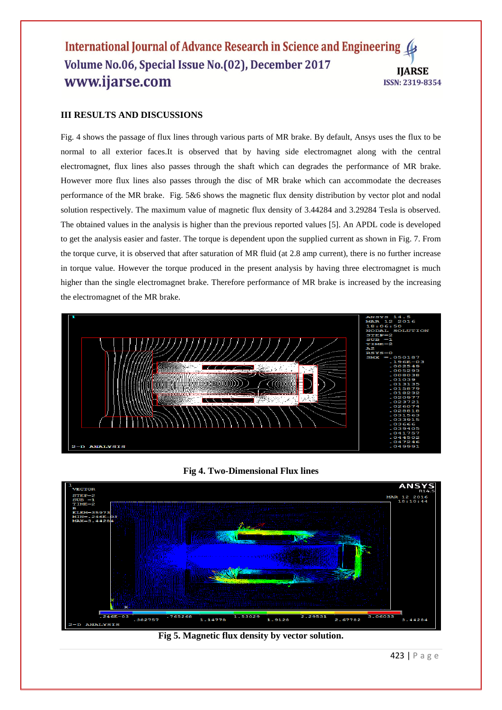#### International Journal of Advance Research in Science and Engineering 4 Volume No.06, Special Issue No.(02), December 2017 **IIARSE** www.ijarse.com **ISSN: 2319-8354**

#### **III RESULTS AND DISCUSSIONS**

Fig. 4 shows the passage of flux lines through various parts of MR brake. By default, Ansys uses the flux to be normal to all exterior faces.It is observed that by having side electromagnet along with the central electromagnet, flux lines also passes through the shaft which can degrades the performance of MR brake. However more flux lines also passes through the disc of MR brake which can accommodate the decreases performance of the MR brake. Fig. 5&6 shows the magnetic flux density distribution by vector plot and nodal solution respectively. The maximum value of magnetic flux density of 3.44284 and 3.29284 Tesla is observed. The obtained values in the analysis is higher than the previous reported values [5]. An APDL code is developed to get the analysis easier and faster. The torque is dependent upon the supplied current as shown in Fig. 7. From the torque curve, it is observed that after saturation of MR fluid (at 2.8 amp current), there is no further increase in torque value. However the torque produced in the present analysis by having three electromagnet is much higher than the single electromagnet brake. Therefore performance of MR brake is increased by the increasing the electromagnet of the MR brake.



#### **Fig 4. Two-Dimensional Flux lines**



#### **Fig 5. Magnetic flux density by vector solution.**

423 | P a g e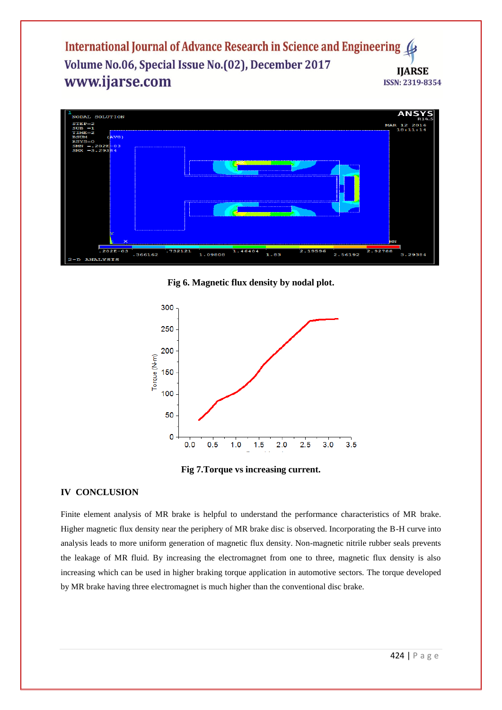International Journal of Advance Research in Science and Engineering Volume No.06, Special Issue No.(02), December 2017 **IIARSE** www.ijarse.com ISSN: 2319-8354



**Fig 6. Magnetic flux density by nodal plot.**





#### **IV CONCLUSION**

Finite element analysis of MR brake is helpful to understand the performance characteristics of MR brake. Higher magnetic flux density near the periphery of MR brake disc is observed. Incorporating the B-H curve into analysis leads to more uniform generation of magnetic flux density. Non-magnetic nitrile rubber seals prevents the leakage of MR fluid. By increasing the electromagnet from one to three, magnetic flux density is also increasing which can be used in higher braking torque application in automotive sectors. The torque developed by MR brake having three electromagnet is much higher than the conventional disc brake.